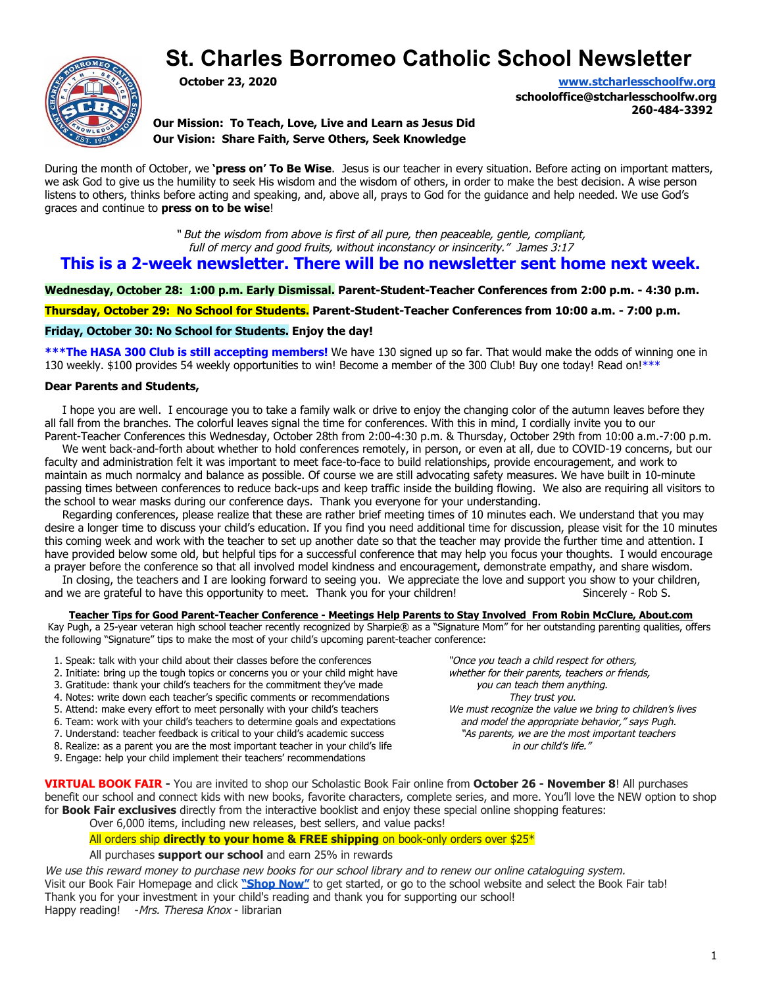# **St. Charles Borromeo Catholic School Newsletter**



**October 23, 2020 [www.stcharlesschoolfw.org](http://www.stcharlesschoolfw.org/)**

**schooloffice@stcharlesschoolfw.org 260-484-3392**

**Our Mission: To Teach, Love, Live and Learn as Jesus Did Our Vision: Share Faith, Serve Others, Seek Knowledge**

During the month of October, we **'press on' To Be Wise**. Jesus is our teacher in every situation. Before acting on important matters, we ask God to give us the humility to seek His wisdom and the wisdom of others, in order to make the best decision. A wise person listens to others, thinks before acting and speaking, and, above all, prays to God for the guidance and help needed. We use God's graces and continue to **press on to be wise**!

> " But the wisdom from above is first of all pure, then peaceable, gentle, compliant, full of mercy and good fruits, without inconstancy or insincerity." James 3:17

## **This is a 2-week newsletter. There will be no newsletter sent home next week.**

**Wednesday, October 28: 1:00 p.m. Early Dismissal. Parent-Student-Teacher Conferences from 2:00 p.m. - 4:30 p.m.**

**Thursday, October 29: No School for Students. Parent-Student-Teacher Conferences from 10:00 a.m. - 7:00 p.m.**

## **Friday, October 30: No School for Students. Enjoy the day!**

**\*\*\*The HASA 300 Club is still accepting members!** We have 130 signed up so far. That would make the odds of winning one in 130 weekly. \$100 provides 54 weekly opportunities to win! Become a member of the 300 Club! Buy one today! Read on!\*\*\*

## **Dear Parents and Students,**

 I hope you are well. I encourage you to take a family walk or drive to enjoy the changing color of the autumn leaves before they all fall from the branches. The colorful leaves signal the time for conferences. With this in mind, I cordially invite you to our Parent-Teacher Conferences this Wednesday, October 28th from 2:00-4:30 p.m. & Thursday, October 29th from 10:00 a.m.-7:00 p.m.

 We went back-and-forth about whether to hold conferences remotely, in person, or even at all, due to COVID-19 concerns, but our faculty and administration felt it was important to meet face-to-face to build relationships, provide encouragement, and work to maintain as much normalcy and balance as possible. Of course we are still advocating safety measures. We have built in 10-minute passing times between conferences to reduce back-ups and keep traffic inside the building flowing. We also are requiring all visitors to the school to wear masks during our conference days. Thank you everyone for your understanding.

 Regarding conferences, please realize that these are rather brief meeting times of 10 minutes each. We understand that you may desire a longer time to discuss your child's education. If you find you need additional time for discussion, please visit for the 10 minutes this coming week and work with the teacher to set up another date so that the teacher may provide the further time and attention. I have provided below some old, but helpful tips for a successful conference that may help you focus your thoughts. I would encourage a prayer before the conference so that all involved model kindness and encouragement, demonstrate empathy, and share wisdom. In closing, the teachers and I are looking forward to seeing you. We appreciate the love and support you show to your children,

and we are grateful to have this opportunity to meet. Thank you for your children! Sincerely - Rob S.

Teacher Tips for Good Parent-Teacher Conference - Meetings Help Parents to Stay Involved From Robin McClure, About.com

Kay Pugh, a 25-year veteran high school teacher recently recognized by Sharpie® as a "Signature Mom" for her outstanding parenting qualities, offers the following "Signature" tips to make the most of your child's upcoming parent-teacher conference:

- 1. Speak: talk with your child about their classes before the conferences "Once you teach a child respect for others,
- 
- 3. Gratitude: thank your child's teachers for the commitment they've made you can teach them any<br>4. Notes: write down each teacher's specific comments or recommendations They trust you.
- 4. Notes: write down each teacher's specific comments or recommendations
- 
- 
- 7. Understand: teacher feedback is critical to your child's academic success "As parents, we are the most important teacher in your child's life ""As parents, we are the most important teacher in your child's life
- 8. Realize: as a parent you are the most important teacher in your child's life
- 9. Engage: help your child implement their teachers' recommendations

2. Initiate: bring up the tough topics or concerns you or your child might have whether for their parents, teachers or friends,<br>3. Gratitude: thank your child's teachers for the commitment they've made you can teach them a 5. Attend: make every effort to meet personally with your child's teachers We must recognize the value we bring to children's lives 6. Team: work with your child's teachers to determine goals and expectations and model the 6. Team: work with your child's teachers to determine goals and expectations and model the appropriate behavior," says Pugh.<br>1. Understand: teacher feedback is critical to your child's academic success and the mast importa

**VIRTUAL BOOK FAIR -** You are invited to shop our Scholastic Book Fair online from **October 26 - November 8**! All purchases benefit our school and connect kids with new books, favorite characters, complete series, and more. You'll love the NEW option to shop for **Book Fair exclusives** directly from the interactive booklist and enjoy these special online shopping features: Over 6,000 items, including new releases, best sellers, and value packs!

All orders ship **directly to your home & FREE shipping** on book-only orders over \$25\*

## All purchases **support our school** and earn 25% in rewards

We use this reward money to purchase new books for our school library and to renew our online cataloguing system. Visit our Book Fair Homepage and click **["Shop Now"](https://www.scholastic.com/bf/stcharlesborromeoschool13)** to get started, or go to the school website and select the Book Fair tab! Thank you for your investment in your child's reading and thank you for supporting our school! Happy reading! - Mrs. Theresa Knox - librarian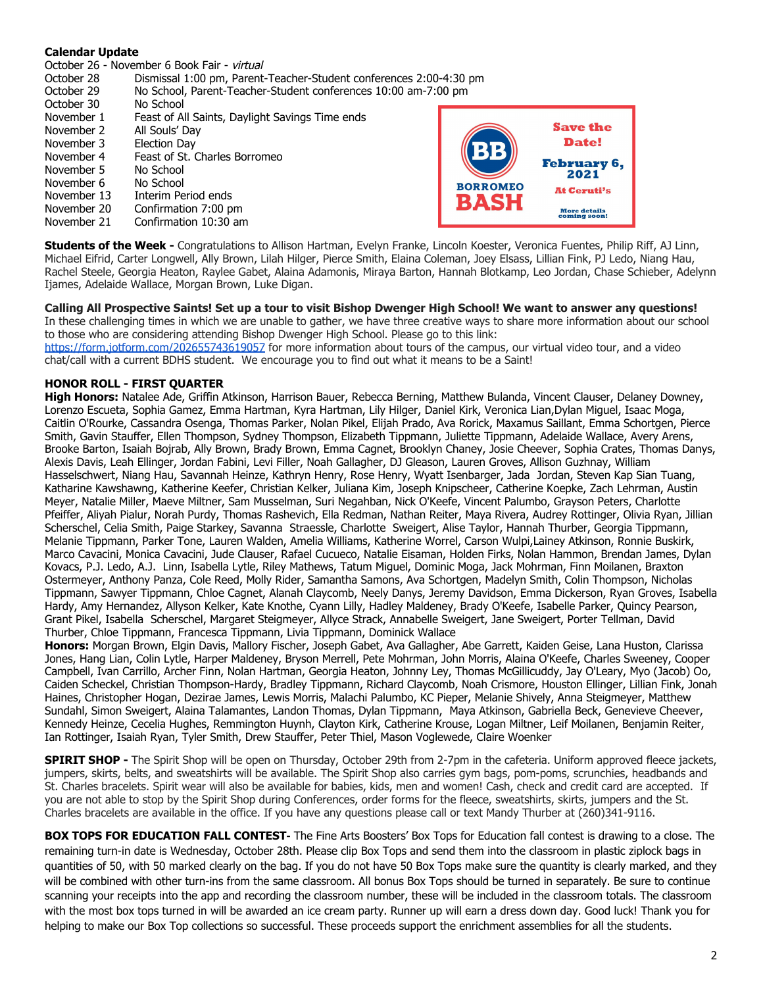## **Calendar Update**

October 26 - November 6 Book Fair - virtual

- October 28 Dismissal 1:00 pm, Parent-Teacher-Student conferences 2:00-4:30 pm
- October 29 No School, Parent-Teacher-Student conferences 10:00 am-7:00 pm
- October 30 No School
- November 1 Feast of All Saints, Daylight Savings Time ends
- November 2 All Souls' Day November 3 Election Day
- 
- November 4 Feast of St. Charles Borromeo
- November 5 No School
- November 6 No School
- November 13 Interim Period ends
- November 20 Confirmation 7:00 pm November 21 Confirmation 10:30 am



**Students of the Week -** Congratulations to Allison Hartman, Evelyn Franke, Lincoln Koester, Veronica Fuentes, Philip Riff, AJ Linn, Michael Eifrid, Carter Longwell, Ally Brown, Lilah Hilger, Pierce Smith, Elaina Coleman, Joey Elsass, Lillian Fink, PJ Ledo, Niang Hau, Rachel Steele, Georgia Heaton, Raylee Gabet, Alaina Adamonis, Miraya Barton, Hannah Blotkamp, Leo Jordan, Chase Schieber, Adelynn Ijames, Adelaide Wallace, Morgan Brown, Luke Digan.

**Calling All Prospective Saints! Set up a tour to visit Bishop Dwenger High School! We want to answer any questions!** In these challenging times in which we are unable to gather, we have three creative ways to share more information about our school to those who are considering attending Bishop Dwenger High School. Please go to this link: <https://form.jotform.com/202655743619057>for more information about tours of the campus, our virtual video tour, and a video chat/call with a current BDHS student. We encourage you to find out what it means to be a Saint!

## **HONOR ROLL - FIRST QUARTER**

**High Honors:** Natalee Ade, Griffin Atkinson, Harrison Bauer, Rebecca Berning, Matthew Bulanda, Vincent Clauser, Delaney Downey, Lorenzo Escueta, Sophia Gamez, Emma Hartman, Kyra Hartman, Lily Hilger, Daniel Kirk, Veronica Lian,Dylan Miguel, Isaac Moga, Caitlin O'Rourke, Cassandra Osenga, Thomas Parker, Nolan Pikel, Elijah Prado, Ava Rorick, Maxamus Saillant, Emma Schortgen, Pierce Smith, Gavin Stauffer, Ellen Thompson, Sydney Thompson, Elizabeth Tippmann, Juliette Tippmann, Adelaide Wallace, Avery Arens, Brooke Barton, Isaiah Bojrab, Ally Brown, Brady Brown, Emma Cagnet, Brooklyn Chaney, Josie Cheever, Sophia Crates, Thomas Danys, Alexis Davis, Leah Ellinger, Jordan Fabini, Levi Filler, Noah Gallagher, DJ Gleason, Lauren Groves, Allison Guzhnay, William Hasselschwert, Niang Hau, Savannah Heinze, Kathryn Henry, Rose Henry, Wyatt Isenbarger, Jada Jordan, Steven Kap Sian Tuang, Katharine Kawshawng, Katherine Keefer, Christian Kelker, Juliana Kim, Joseph Knipscheer, Catherine Koepke, Zach Lehrman, Austin Meyer, Natalie Miller, Maeve Miltner, Sam Musselman, Suri Negahban, Nick O'Keefe, Vincent Palumbo, Grayson Peters, Charlotte Pfeiffer, Aliyah Pialur, Norah Purdy, Thomas Rashevich, Ella Redman, Nathan Reiter, Maya Rivera, Audrey Rottinger, Olivia Ryan, Jillian Scherschel, Celia Smith, Paige Starkey, Savanna Straessle, Charlotte Sweigert, Alise Taylor, Hannah Thurber, Georgia Tippmann, Melanie Tippmann, Parker Tone, Lauren Walden, Amelia Williams, Katherine Worrel, Carson Wulpi,Lainey Atkinson, Ronnie Buskirk, Marco Cavacini, Monica Cavacini, Jude Clauser, Rafael Cucueco, Natalie Eisaman, Holden Firks, Nolan Hammon, Brendan James, Dylan Kovacs, P.J. Ledo, A.J. Linn, Isabella Lytle, Riley Mathews, Tatum Miguel, Dominic Moga, Jack Mohrman, Finn Moilanen, Braxton Ostermeyer, Anthony Panza, Cole Reed, Molly Rider, Samantha Samons, Ava Schortgen, Madelyn Smith, Colin Thompson, Nicholas Tippmann, Sawyer Tippmann, Chloe Cagnet, Alanah Claycomb, Neely Danys, Jeremy Davidson, Emma Dickerson, Ryan Groves, Isabella Hardy, Amy Hernandez, Allyson Kelker, Kate Knothe, Cyann Lilly, Hadley Maldeney, Brady O'Keefe, Isabelle Parker, Quincy Pearson, Grant Pikel, Isabella Scherschel, Margaret Steigmeyer, Allyce Strack, Annabelle Sweigert, Jane Sweigert, Porter Tellman, David Thurber, Chloe Tippmann, Francesca Tippmann, Livia Tippmann, Dominick Wallace

**Honors:** Morgan Brown, Elgin Davis, Mallory Fischer, Joseph Gabet, Ava Gallagher, Abe Garrett, Kaiden Geise, Lana Huston, Clarissa Jones, Hang Lian, Colin Lytle, Harper Maldeney, Bryson Merrell, Pete Mohrman, John Morris, Alaina O'Keefe, Charles Sweeney, Cooper Campbell, Ivan Carrillo, Archer Finn, Nolan Hartman, Georgia Heaton, Johnny Ley, Thomas McGillicuddy, Jay O'Leary, Myo (Jacob) Oo, Caiden Scheckel, Christian Thompson-Hardy, Bradley Tippmann, Richard Claycomb, Noah Crismore, Houston Ellinger, Lillian Fink, Jonah Haines, Christopher Hogan, Dezirae James, Lewis Morris, Malachi Palumbo, KC Pieper, Melanie Shively, Anna Steigmeyer, Matthew Sundahl, Simon Sweigert, Alaina Talamantes, Landon Thomas, Dylan Tippmann, Maya Atkinson, Gabriella Beck, Genevieve Cheever, Kennedy Heinze, Cecelia Hughes, Remmington Huynh, Clayton Kirk, Catherine Krouse, Logan Miltner, Leif Moilanen, Benjamin Reiter, Ian Rottinger, Isaiah Ryan, Tyler Smith, Drew Stauffer, Peter Thiel, Mason Voglewede, Claire Woenker

**SPIRIT SHOP -** The Spirit Shop will be open on Thursday, October 29th from 2-7pm in the cafeteria. Uniform approved fleece jackets, jumpers, skirts, belts, and sweatshirts will be available. The Spirit Shop also carries gym bags, pom-poms, scrunchies, headbands and St. Charles bracelets. Spirit wear will also be available for babies, kids, men and women! Cash, check and credit card are accepted. If you are not able to stop by the Spirit Shop during Conferences, order forms for the fleece, sweatshirts, skirts, jumpers and the St. Charles bracelets are available in the office. If you have any questions please call or text Mandy Thurber at (260)341-9116.

**BOX TOPS FOR EDUCATION FALL CONTEST-** The Fine Arts Boosters' Box Tops for Education fall contest is drawing to a close. The remaining turn-in date is Wednesday, October 28th. Please clip Box Tops and send them into the classroom in plastic ziplock bags in quantities of 50, with 50 marked clearly on the bag. If you do not have 50 Box Tops make sure the quantity is clearly marked, and they will be combined with other turn-ins from the same classroom. All bonus Box Tops should be turned in separately. Be sure to continue scanning your receipts into the app and recording the classroom number, these will be included in the classroom totals. The classroom with the most box tops turned in will be awarded an ice cream party. Runner up will earn a dress down day. Good luck! Thank you for helping to make our Box Top collections so successful. These proceeds support the enrichment assemblies for all the students.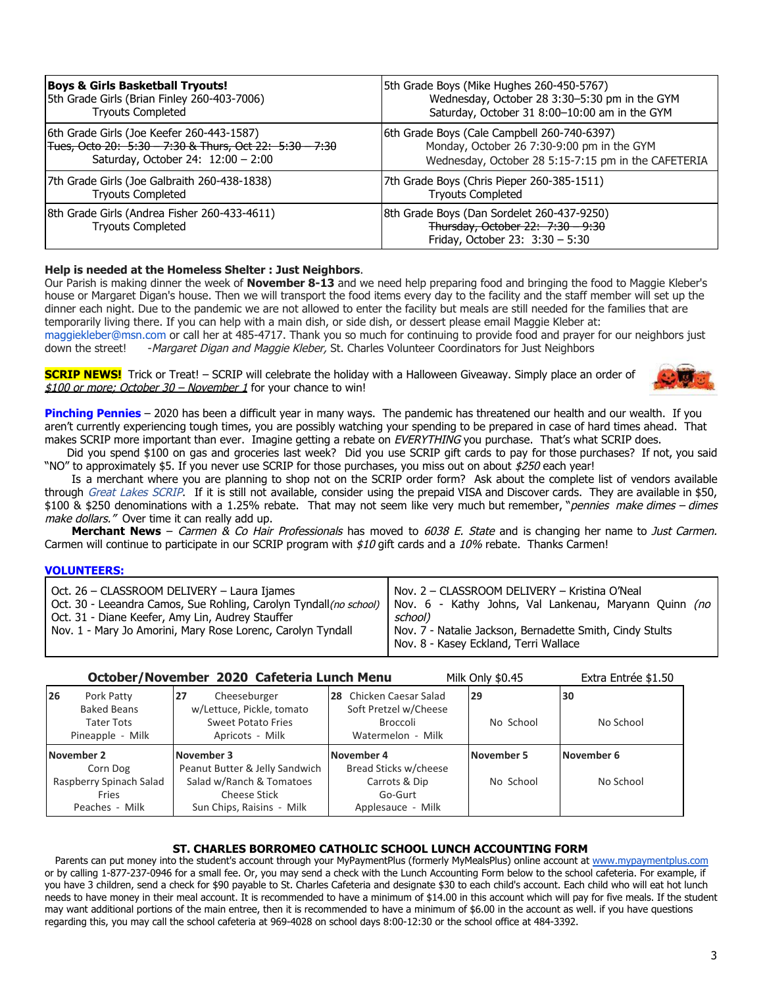| <b>Boys &amp; Girls Basketball Tryouts!</b>                              | 5th Grade Boys (Mike Hughes 260-450-5767)                                                                          |
|--------------------------------------------------------------------------|--------------------------------------------------------------------------------------------------------------------|
| 5th Grade Girls (Brian Finley 260-403-7006)                              | Wednesday, October 28 3:30-5:30 pm in the GYM                                                                      |
| <b>Tryouts Completed</b>                                                 | Saturday, October 31 8:00-10:00 am in the GYM                                                                      |
| 6th Grade Girls (Joe Keefer 260-443-1587)                                | 6th Grade Boys (Cale Campbell 260-740-6397)                                                                        |
| Tues, Octo 20: 5:30 - 7:30 & Thurs, Oct 22: 5:30 - 7:30                  | Monday, October 26 7:30-9:00 pm in the GYM                                                                         |
| Saturday, October 24: $12:00 - 2:00$                                     | Wednesday, October 28 5:15-7:15 pm in the CAFETERIA                                                                |
| 7th Grade Girls (Joe Galbraith 260-438-1838)                             | 7th Grade Boys (Chris Pieper 260-385-1511)                                                                         |
| <b>Tryouts Completed</b>                                                 | <b>Tryouts Completed</b>                                                                                           |
| 8th Grade Girls (Andrea Fisher 260-433-4611)<br><b>Tryouts Completed</b> | 8th Grade Boys (Dan Sordelet 260-437-9250)<br>Thursday, October 22: 7:30 - 9:30<br>Friday, October 23: 3:30 - 5:30 |

## **Help is needed at the Homeless Shelter : Just Neighbors**.

Our Parish is making dinner the week of **November 8-13** and we need help preparing food and bringing the food to Maggie Kleber's house or Margaret Digan's house. Then we will transport the food items every day to the facility and the staff member will set up the dinner each night. Due to the pandemic we are not allowed to enter the facility but meals are still needed for the families that are temporarily living there. If you can help with a main dish, or side dish, or dessert please email Maggie Kleber at:

maggiekleber@msn.com or call her at 485-4717. Thank you so much for continuing to provide food and prayer for our neighbors just down the street! - Margaret Digan and Maggie Kleber, St. Charles Volunteer Coordinators for Just Neighbors

**SCRIP NEWS!** Trick or Treat! – SCRIP will celebrate the holiday with a Halloween Giveaway. Simply place an order of  $$100$  or more; October 30 – November 1 for your chance to win!



**Pinching Pennies** – 2020 has been a difficult year in many ways. The pandemic has threatened our health and our wealth. If you aren't currently experiencing tough times, you are possibly watching your spending to be prepared in case of hard times ahead. That makes SCRIP more important than ever. Imagine getting a rebate on EVERYTHING you purchase. That's what SCRIP does.

Did you spend \$100 on gas and groceries last week? Did you use SCRIP gift cards to pay for those purchases? If not, you said "NO" to approximately \$5. If you never use SCRIP for those purchases, you miss out on about \$250 each year!

Is a merchant where you are planning to shop not on the SCRIP order form? Ask about the complete list of vendors available through Great Lakes SCRIP. If it is still not available, consider using the prepaid VISA and Discover cards. They are available in \$50, \$100 & \$250 denominations with a 1.25% rebate. That may not seem like very much but remember, "pennies make dimes – dimes make dollars." Over time it can really add up.

**Merchant News** – Carmen & Co Hair Professionals has moved to 6038 E. State and is changing her name to Just Carmen. Carmen will continue to participate in our SCRIP program with  $$10$  gift cards and a  $10\%$  rebate. Thanks Carmen!

## **VOLUNTEERS:**

| Oct. 26 - CLASSROOM DELIVERY - Laura Ijames                        | Nov. 2 - CLASSROOM DELIVERY - Kristina O'Neal            |
|--------------------------------------------------------------------|----------------------------------------------------------|
| Oct. 30 - Leeandra Camos, Sue Rohling, Carolyn Tyndall (no school) | Nov. 6 - Kathy Johns, Val Lankenau, Maryann Quinn (no    |
| Oct. 31 - Diane Keefer, Amy Lin, Audrey Stauffer                   | school)                                                  |
| Nov. 1 - Mary Jo Amorini, Mary Rose Lorenc, Carolyn Tyndall        | Nov. 7 - Natalie Jackson, Bernadette Smith, Cindy Stults |
|                                                                    | Nov. 8 - Kasey Eckland, Terri Wallace                    |

|                                                                                 | October/November 2020 Cafeteria Lunch Menu                                                      |                                                                                          | Milk Only \$0.45 | Extra Entrée \$1.50 |
|---------------------------------------------------------------------------------|-------------------------------------------------------------------------------------------------|------------------------------------------------------------------------------------------|------------------|---------------------|
| 26<br>Pork Patty<br><b>Baked Beans</b><br><b>Tater Tots</b><br>Pineapple - Milk | 27<br>Cheeseburger<br>w/Lettuce, Pickle, tomato<br><b>Sweet Potato Fries</b><br>Apricots - Milk | 28 Chicken Caesar Salad<br>Soft Pretzel w/Cheese<br><b>Broccoli</b><br>Watermelon - Milk | 29<br>No School  | 30<br>No School     |
|                                                                                 |                                                                                                 |                                                                                          |                  |                     |
| November 2                                                                      | November 3                                                                                      | November 4                                                                               | November 5       | November 6          |
| Corn Dog                                                                        | Peanut Butter & Jelly Sandwich                                                                  | Bread Sticks w/cheese                                                                    |                  |                     |
| Raspberry Spinach Salad<br>Fries                                                | Salad w/Ranch & Tomatoes<br><b>Cheese Stick</b>                                                 | Carrots & Dip<br>Go-Gurt                                                                 | No School        | No School           |

## **ST. CHARLES BORROMEO CATHOLIC SCHOOL LUNCH ACCOUNTING FORM**

Parents can put money into the student's account through your MyPaymentPlus (formerly MyMealsPlus) online account at [www.mypaymentplus.com](https://www.mypaymentsplus.com/welcome) or by calling 1-877-237-0946 for a small fee. Or, you may send a check with the Lunch Accounting Form below to the school cafeteria. For example, if you have 3 children, send a check for \$90 payable to St. Charles Cafeteria and designate \$30 to each child's account. Each child who will eat hot lunch needs to have money in their meal account. It is recommended to have a minimum of \$14.00 in this account which will pay for five meals. If the student may want additional portions of the main entree, then it is recommended to have a minimum of \$6.00 in the account as well. if you have questions regarding this, you may call the school cafeteria at 969-4028 on school days 8:00-12:30 or the school office at 484-3392.